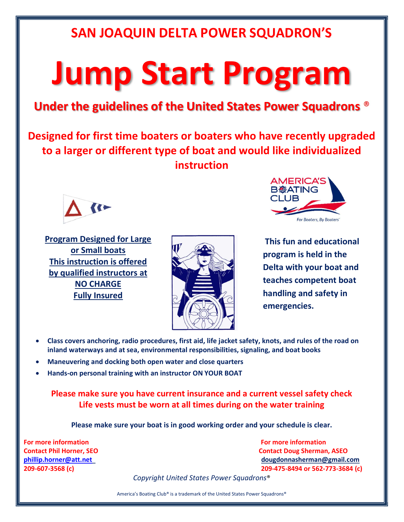### SAN JOAQUIN DELTA POWER SQUADRON'S

# Jump Start Program

#### Under the guidelines of the United States Power Squadrons ®

Designed for first time boaters or boaters who have recently upgraded to a larger or different type of boat and would like individualized instruction



Program Designed for Large or Small boats This instruction is offered by qualified instructors at NO CHARGE Fully Insured





This fun and educational program is held in the Delta with your boat and teaches competent boat handling and safety in emergencies.

- Class covers anchoring, radio procedures, first aid, life jacket safety, knots, and rules of the road on inland waterways and at sea, environmental responsibilities, signaling, and boat books
- Maneuvering and docking both open water and close quarters
- Hands-on personal training with an instructor ON YOUR BOAT

Please make sure you have current insurance and a current vessel safety check Life vests must be worn at all times during on the water training

Please make sure your boat is in good working order and your schedule is clear.

For more information **For matter and the example of the example of the example of the example of the example of the example of the example of the example of the example of the example of the example of the example of the e** 

Contact Phil Horner, SEO Contact Doug Sherman, ASEO phillip.horner@att.net dougdonnasherman@gmail.com 209-607-3568 (c) 209-475-8494 or 562-773-3684 (c)

Copyright United States Power Squadrons®

America's Boating Club® is a trademark of the United States Power Squadrons®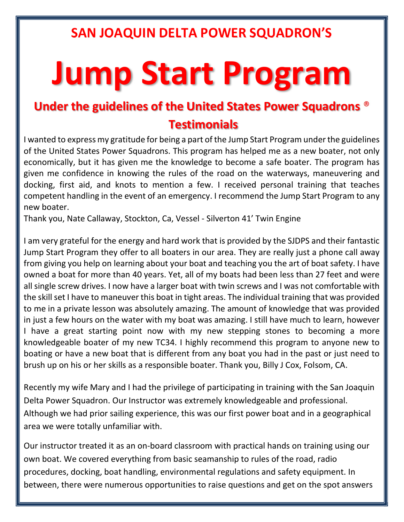## SAN JOAQUIN DELTA POWER SQUADRON'S

# Jump Start Program

#### Under the guidelines of the United States Power Squadrons ® **Testimonials**

I wanted to express my gratitude for being a part of the Jump Start Program under the guidelines of the United States Power Squadrons. This program has helped me as a new boater, not only economically, but it has given me the knowledge to become a safe boater. The program has given me confidence in knowing the rules of the road on the waterways, maneuvering and docking, first aid, and knots to mention a few. I received personal training that teaches competent handling in the event of an emergency. I recommend the Jump Start Program to any new boater.

Thank you, Nate Callaway, Stockton, Ca, Vessel - Silverton 41' Twin Engine

I am very grateful for the energy and hard work that is provided by the SJDPS and their fantastic Jump Start Program they offer to all boaters in our area. They are really just a phone call away from giving you help on learning about your boat and teaching you the art of boat safety. I have owned a boat for more than 40 years. Yet, all of my boats had been less than 27 feet and were all single screw drives. I now have a larger boat with twin screws and I was not comfortable with the skill set I have to maneuver this boat in tight areas. The individual training that was provided to me in a private lesson was absolutely amazing. The amount of knowledge that was provided in just a few hours on the water with my boat was amazing. I still have much to learn, however I have a great starting point now with my new stepping stones to becoming a more knowledgeable boater of my new TC34. I highly recommend this program to anyone new to boating or have a new boat that is different from any boat you had in the past or just need to brush up on his or her skills as a responsible boater. Thank you, Billy J Cox, Folsom, CA.

Recently my wife Mary and I had the privilege of participating in training with the San Joaquin Delta Power Squadron. Our Instructor was extremely knowledgeable and professional. Although we had prior sailing experience, this was our first power boat and in a geographical area we were totally unfamiliar with.

Our instructor treated it as an on-board classroom with practical hands on training using our own boat. We covered everything from basic seamanship to rules of the road, radio procedures, docking, boat handling, environmental regulations and safety equipment. In between, there were numerous opportunities to raise questions and get on the spot answers